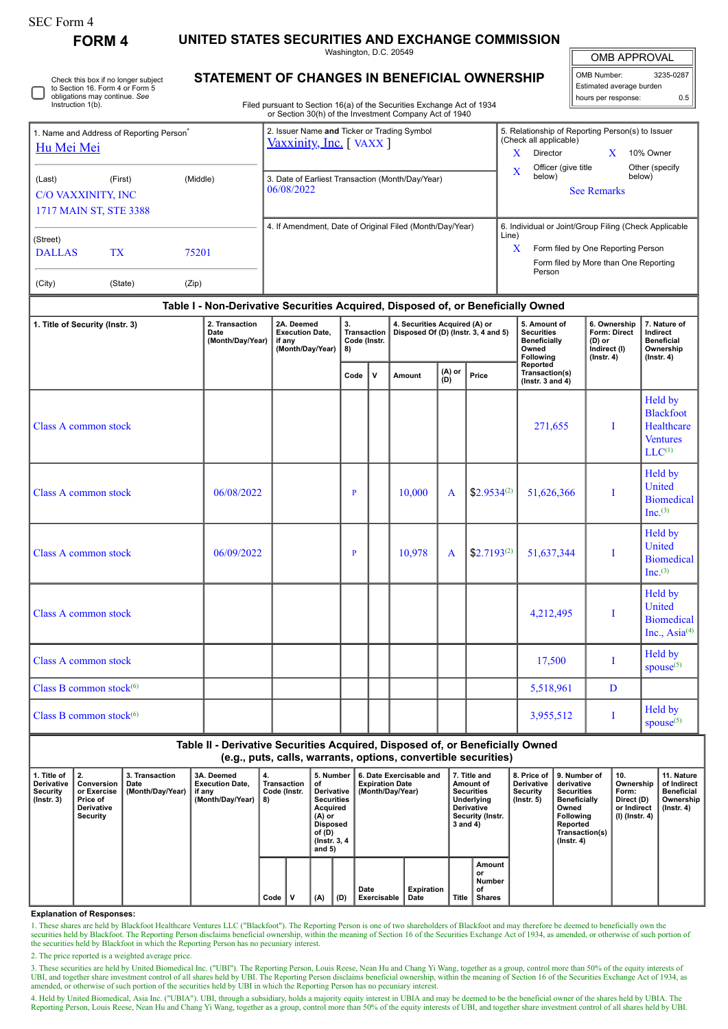| SEC Form 4 |  |
|------------|--|
|------------|--|

**FORM 4 UNITED STATES SECURITIES AND EXCHANGE COMMISSION**

Washington, D.C. 20549

OMB APPROVAL

| OMB Number:<br>3235-0287 |     |  |  |  |  |  |  |  |
|--------------------------|-----|--|--|--|--|--|--|--|
| Estimated average burden |     |  |  |  |  |  |  |  |
| hours per response:      | 0.5 |  |  |  |  |  |  |  |

Check this box if no longer subject to Section 16. Form 4 or Form 5 obligations may continue. *See* Instruction 1(b).

## **STATEMENT OF CHANGES IN BENEFICIAL OWNERSHIP**

Filed pursuant to Section 16(a) of the Securities Exchange Act of 1934 or Section 30(h) of the Investment Company Act of 1940

| 1. Name and Address of Reporting Person <sup>®</sup><br>Hu Mei Mei |                        |          | 2. Issuer Name and Ticker or Trading Symbol<br>Vaxxinity, Inc. [VAXX] | 5. Relationship of Reporting Person(s) to Issuer<br>(Check all applicable) |  |  |  |  |  |
|--------------------------------------------------------------------|------------------------|----------|-----------------------------------------------------------------------|----------------------------------------------------------------------------|--|--|--|--|--|
|                                                                    |                        |          |                                                                       | X<br>10% Owner<br>Director<br>Officer (give title)<br>Other (specify       |  |  |  |  |  |
| (Last)                                                             | (First)                | (Middle) | 3. Date of Earliest Transaction (Month/Day/Year)                      | X<br>below)<br>below)                                                      |  |  |  |  |  |
| C/O VAXXINITY, INC                                                 |                        |          | 06/08/2022                                                            | <b>See Remarks</b>                                                         |  |  |  |  |  |
|                                                                    | 1717 MAIN ST, STE 3388 |          |                                                                       |                                                                            |  |  |  |  |  |
|                                                                    |                        |          | 4. If Amendment, Date of Original Filed (Month/Day/Year)              | 6. Individual or Joint/Group Filing (Check Applicable<br>Line)             |  |  |  |  |  |
| (Street)<br><b>DALLAS</b>                                          | <b>TX</b>              | 75201    |                                                                       | X<br>Form filed by One Reporting Person                                    |  |  |  |  |  |
|                                                                    |                        |          |                                                                       | Form filed by More than One Reporting<br>Person                            |  |  |  |  |  |
| (City)                                                             | (State)                | (Zip)    |                                                                       |                                                                            |  |  |  |  |  |

## **Table I - Non-Derivative Securities Acquired, Disposed of, or Beneficially Owned**

| 1. Title of Security (Instr. 3) | 2. Transaction<br>Date<br>(Month/Day/Year) | 2A. Deemed<br><b>Execution Date,</b><br>if any<br>(Month/Day/Year) | 3.<br>Transaction<br>Code (Instr.<br>8) |              | 4. Securities Acquired (A) or<br>Disposed Of (D) (Instr. 3, 4 and 5) |                   |                  | 5. Amount of<br><b>Securities</b><br>Beneficially<br>Owned<br>Following | 6. Ownership<br>Form: Direct<br>$(D)$ or<br>Indirect (I)<br>$($ lnstr. 4) | 7. Nature of<br>Indirect<br><b>Beneficial</b><br>Ownership<br>$($ Instr. 4 $)$ |  |
|---------------------------------|--------------------------------------------|--------------------------------------------------------------------|-----------------------------------------|--------------|----------------------------------------------------------------------|-------------------|------------------|-------------------------------------------------------------------------|---------------------------------------------------------------------------|--------------------------------------------------------------------------------|--|
|                                 |                                            |                                                                    | Code                                    | $\mathsf{v}$ | Amount                                                               | $(A)$ or<br>$(D)$ | Price            | Reported<br>Transaction(s)<br>(Instr. 3 and $4$ )                       |                                                                           |                                                                                |  |
| Class A common stock            |                                            |                                                                    |                                         |              |                                                                      |                   |                  | 271,655                                                                 | I                                                                         | Held by<br><b>Blackfoot</b><br>Healthcare<br><b>Ventures</b><br>$LLC^{(1)}$    |  |
| Class A common stock            | 06/08/2022                                 |                                                                    | P                                       |              | 10,000                                                               | $\mathbf{A}$      | $$2.9534^{(2)}$$ | 51,626,366                                                              | I                                                                         | Held by<br>United<br><b>Biomedical</b><br>Inc. <sup>(3)</sup>                  |  |
| Class A common stock            | 06/09/2022                                 |                                                                    | $\mathbf{P}$                            |              | 10,978                                                               | $\mathbf{A}$      | $$2.7193^{(2)}$  | 51,637,344                                                              | I                                                                         | Held by<br><b>United</b><br><b>Biomedical</b><br>Inc. <sup>(3)</sup>           |  |
| Class A common stock            |                                            |                                                                    |                                         |              |                                                                      |                   |                  | 4,212,495                                                               | Ι                                                                         | Held by<br>United<br><b>Biomedical</b><br>Inc., Asia <sup>(4)</sup>            |  |
| Class A common stock            |                                            |                                                                    |                                         |              |                                                                      |                   |                  | 17,500                                                                  | T                                                                         | Held by<br>spouse <sup>(5)</sup>                                               |  |
| Class B common stock $(6)$      |                                            |                                                                    |                                         |              |                                                                      |                   |                  | 5,518,961                                                               | D                                                                         |                                                                                |  |
| Class B common stock $(6)$      |                                            |                                                                    |                                         |              |                                                                      |                   |                  | 3,955,512                                                               | T                                                                         | Held by<br>$spouse^{(5)}$                                                      |  |

**Table II - Derivative Securities Acquired, Disposed of, or Beneficially Owned (e.g., puts, calls, warrants, options, convertible securities)**

| Title of<br><b>Derivative</b><br><b>Security</b><br>$($ lnstr. 3 $)$ | <b>Conversion</b><br>or Exercise<br>Price of<br><b>Derivative</b><br>Security | 3. Transaction<br>Date<br>(Month/Day/Year) | 3A. Deemed<br><b>Execution Date.</b><br>if any<br>(Month/Dav/Year) | 4.<br>Transaction<br>Code (Instr.<br>8) |      | 5. Number<br>οf<br>Derivative<br><b>Securities</b><br>Acquired<br>(A) or<br><b>Disposed</b><br>of (D)<br>(Instr. 3, 4)<br>and $5)$ |     | 6. Date Exercisable and<br><b>Expiration Date</b><br>(Month/Day/Year) |                     | 7. Title and<br>Amount of<br><b>Securities</b><br><b>Underlying</b><br><b>Derivative</b><br>Security (Instr.<br>3 and 4) |              | 8. Price of<br><b>Derivative</b><br>Security<br>$($ lnstr. 5 $)$ | 9. Number of<br>derivative<br><b>Securities</b><br><b>Beneficially</b><br>Owned<br><b>Following</b><br>Reported<br>Transaction(s)<br>$($ Instr. 4 $)$ | 10.<br>Ownership<br>Form:<br>Direct (D)<br>or Indirect<br>(I) (Instr. 4) | 11. Nature<br>of Indirect<br><b>Beneficial</b><br>Ownership<br>$($ lnstr. 4 $)$ |  |
|----------------------------------------------------------------------|-------------------------------------------------------------------------------|--------------------------------------------|--------------------------------------------------------------------|-----------------------------------------|------|------------------------------------------------------------------------------------------------------------------------------------|-----|-----------------------------------------------------------------------|---------------------|--------------------------------------------------------------------------------------------------------------------------|--------------|------------------------------------------------------------------|-------------------------------------------------------------------------------------------------------------------------------------------------------|--------------------------------------------------------------------------|---------------------------------------------------------------------------------|--|
|                                                                      |                                                                               |                                            |                                                                    |                                         | Code |                                                                                                                                    | (A) | (D)                                                                   | Date<br>Exercisable | Expiration<br>Date                                                                                                       | <b>Title</b> | Amount<br>or<br>Number<br>οf<br><b>Shares</b>                    |                                                                                                                                                       |                                                                          |                                                                                 |  |

**Explanation of Responses:**

1. These shares are held by Blackfoot Healthcare Ventures LLC ("Blackfoot"). The Reporting Person is one of two shareholders of Blackfoot and may therefore be deemed to beneficially own the securities held by Blackfoot. Th

2. The price reported is a weighted average price.

3. These securities are held by United Biomedical Inc. ("UBI"). The Reporting Person, Louis Reese, Nean Hu and Chang Yi Wang, together as a group, control more than 50% of the equity interests of UBI, and together share in

4. Held by United Biomedical, Asia Inc. ("UBIA"). UBI, through a subsidiary, holds a majority equity interest in UBIA and may be deemed to be the beneficial owner of the shares held by UBIA. The Reporting Person, Louis Reese, Nean Hu and Chang Yi Wang, together as a group, control more than 50% of the equity interests of UBI, and together share investment control of all shares held by UBI.